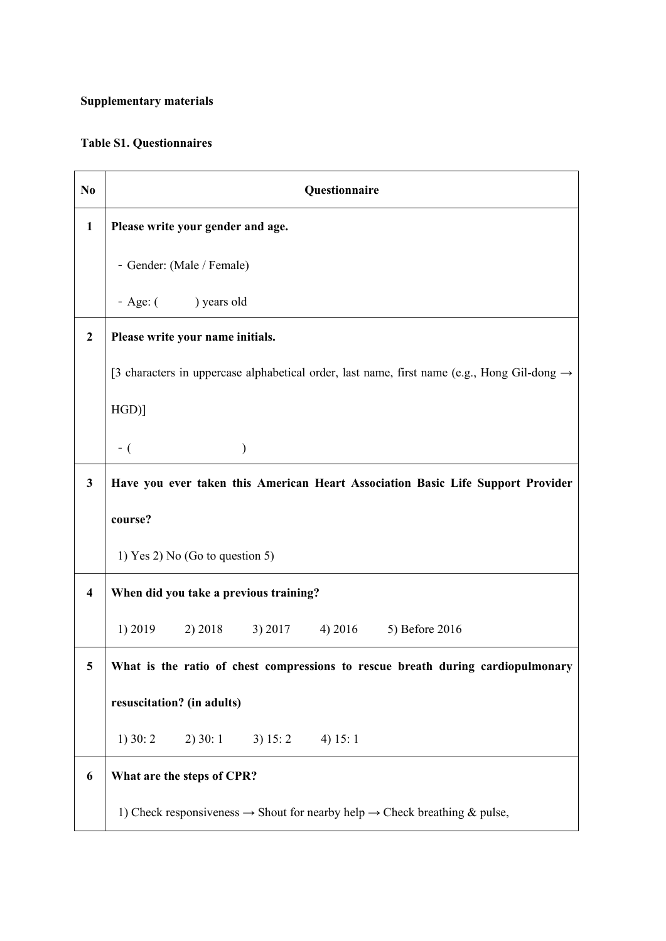## **Supplementary materials**

## **Table S1. Questionnaires**

| N <sub>0</sub>          | Questionnaire                                                                                           |
|-------------------------|---------------------------------------------------------------------------------------------------------|
| $\mathbf{1}$            | Please write your gender and age.                                                                       |
|                         | - Gender: (Male / Female)                                                                               |
|                         | - Age: () years old                                                                                     |
| $\boldsymbol{2}$        | Please write your name initials.                                                                        |
|                         | [3 characters in uppercase alphabetical order, last name, first name (e.g., Hong Gil-dong $\rightarrow$ |
|                         | HGD]                                                                                                    |
|                         | $-$ (                                                                                                   |
| $\mathbf{3}$            | Have you ever taken this American Heart Association Basic Life Support Provider                         |
|                         | course?                                                                                                 |
|                         | 1) Yes 2) No (Go to question 5)                                                                         |
| $\overline{\mathbf{4}}$ | When did you take a previous training?                                                                  |
|                         | 1) 2019<br>$2) 2018$ 3) 2017<br>4) 2016<br>5) Before 2016                                               |
| 5                       | What is the ratio of chest compressions to rescue breath during cardiopulmonary                         |
|                         | resuscitation? (in adults)                                                                              |
|                         | $2)$ 30: 1<br>$1)$ 30: 2<br>3) 15: 2<br>4) $15:1$                                                       |
| 6                       | What are the steps of CPR?                                                                              |
|                         | 1) Check responsiveness $\rightarrow$ Shout for nearby help $\rightarrow$ Check breathing & pulse,      |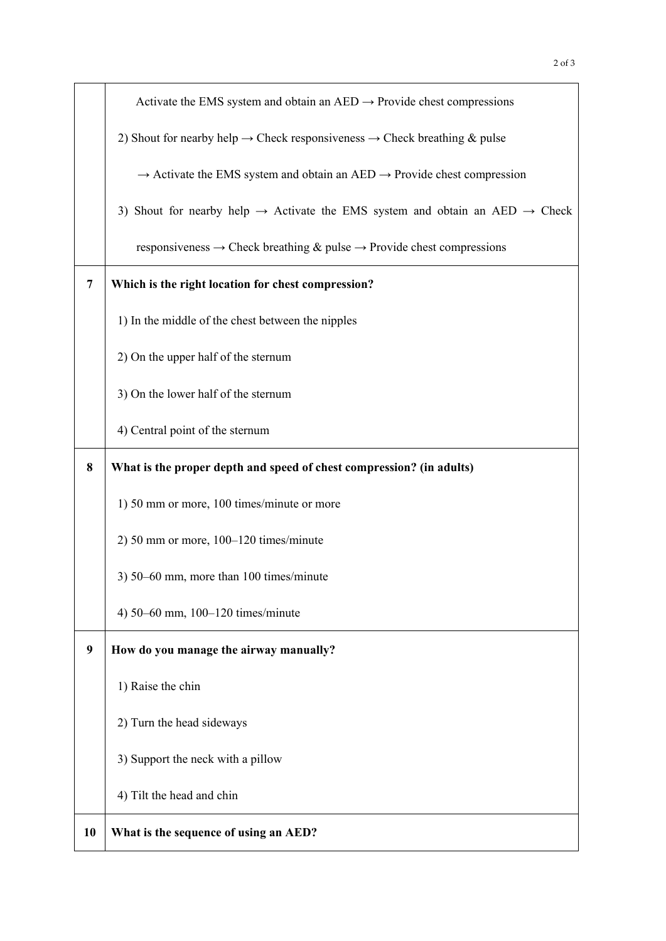|                | Activate the EMS system and obtain an AED $\rightarrow$ Provide chest compressions                   |
|----------------|------------------------------------------------------------------------------------------------------|
|                | 2) Shout for nearby help $\rightarrow$ Check responsiveness $\rightarrow$ Check breathing & pulse    |
|                | $\rightarrow$ Activate the EMS system and obtain an AED $\rightarrow$ Provide chest compression      |
|                | 3) Shout for nearby help $\rightarrow$ Activate the EMS system and obtain an AED $\rightarrow$ Check |
|                | responsiveness $\rightarrow$ Check breathing & pulse $\rightarrow$ Provide chest compressions        |
| $\overline{7}$ | Which is the right location for chest compression?                                                   |
|                | 1) In the middle of the chest between the nipples                                                    |
|                | 2) On the upper half of the sternum                                                                  |
|                | 3) On the lower half of the sternum                                                                  |
|                |                                                                                                      |

4) Central point of the sternum

## **8 What is the proper depth and speed of chest compression? (in adults)**

- 1) 50 mm or more, 100 times/minute or more
- 2) 50 mm or more, 100–120 times/minute
- 3) 50–60 mm, more than 100 times/minute
- 4) 50–60 mm, 100–120 times/minute
- **9 How do you manage the airway manually?**
	- 1) Raise the chin
	- 2) Turn the head sideways
	- 3) Support the neck with a pillow
	- 4) Tilt the head and chin

## **10 What is the sequence of using an AED?**